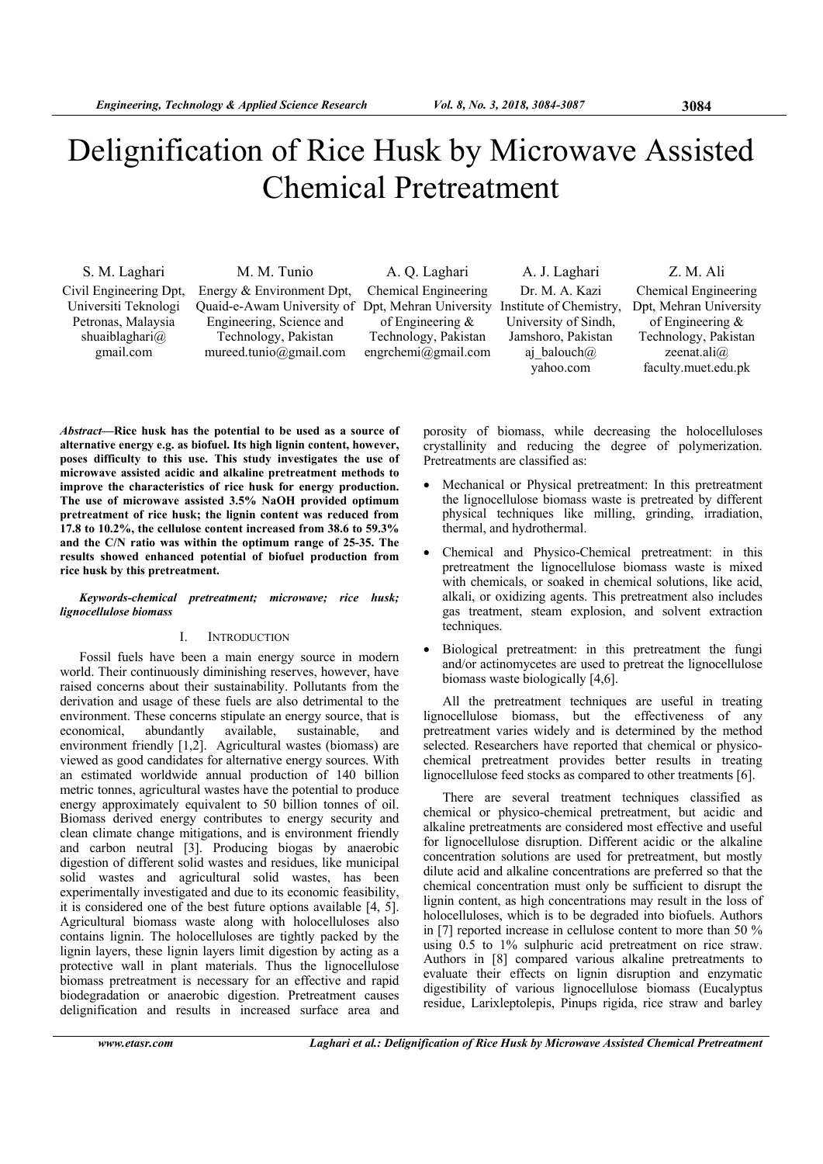# Delignification of Rice Husk by Microwave Assisted Chemical Pretreatment

Civil Engineering Dpt, Universiti Teknologi Petronas, Malaysia shuaiblaghari@ gmail.com

S. M. Laghari M. M. Tunio A. Q. Laghari A. J. Laghari Z. M. Ali Energy & Environment Dpt, Quaid-e-Awam University of Dpt, Mehran University Engineering, Science and Technology, Pakistan mureed.tunio@gmail.com

Chemical Engineering of Engineering & Technology, Pakistan engrchemi@gmail.com

Dr. M. A. Kazi Institute of Chemistry, University of Sindh, Jamshoro, Pakistan aj balouch $\omega$ yahoo.com

Chemical Engineering Dpt, Mehran University of Engineering & Technology, Pakistan zeenat.ali@ faculty.muet.edu.pk

*Abstract***—Rice husk has the potential to be used as a source of alternative energy e.g. as biofuel. Its high lignin content, however, poses difficulty to this use. This study investigates the use of microwave assisted acidic and alkaline pretreatment methods to improve the characteristics of rice husk for energy production. The use of microwave assisted 3.5% NaOH provided optimum pretreatment of rice husk; the lignin content was reduced from 17.8 to 10.2%, the cellulose content increased from 38.6 to 59.3% and the C/N ratio was within the optimum range of 25-35. The results showed enhanced potential of biofuel production from rice husk by this pretreatment.** 

# *Keywords-chemical pretreatment; microwave; rice husk; lignocellulose biomass*

# I. INTRODUCTION

Fossil fuels have been a main energy source in modern world. Their continuously diminishing reserves, however, have raised concerns about their sustainability. Pollutants from the derivation and usage of these fuels are also detrimental to the environment. These concerns stipulate an energy source, that is economical, abundantly available, sustainable, and environment friendly [1,2]. Agricultural wastes (biomass) are viewed as good candidates for alternative energy sources. With an estimated worldwide annual production of 140 billion metric tonnes, agricultural wastes have the potential to produce energy approximately equivalent to 50 billion tonnes of oil. Biomass derived energy contributes to energy security and clean climate change mitigations, and is environment friendly and carbon neutral [3]. Producing biogas by anaerobic digestion of different solid wastes and residues, like municipal solid wastes and agricultural solid wastes, has been experimentally investigated and due to its economic feasibility, it is considered one of the best future options available [4, 5]. Agricultural biomass waste along with holocelluloses also contains lignin. The holocelluloses are tightly packed by the lignin layers, these lignin layers limit digestion by acting as a protective wall in plant materials. Thus the lignocellulose biomass pretreatment is necessary for an effective and rapid biodegradation or anaerobic digestion. Pretreatment causes delignification and results in increased surface area and

porosity of biomass, while decreasing the holocelluloses crystallinity and reducing the degree of polymerization. Pretreatments are classified as:

- Mechanical or Physical pretreatment: In this pretreatment the lignocellulose biomass waste is pretreated by different physical techniques like milling, grinding, irradiation, thermal, and hydrothermal.
- Chemical and Physico-Chemical pretreatment: in this pretreatment the lignocellulose biomass waste is mixed with chemicals, or soaked in chemical solutions, like acid, alkali, or oxidizing agents. This pretreatment also includes gas treatment, steam explosion, and solvent extraction techniques.
- Biological pretreatment: in this pretreatment the fungi and/or actinomycetes are used to pretreat the lignocellulose biomass waste biologically [4,6].

All the pretreatment techniques are useful in treating lignocellulose biomass, but the effectiveness of any pretreatment varies widely and is determined by the method selected. Researchers have reported that chemical or physicochemical pretreatment provides better results in treating lignocellulose feed stocks as compared to other treatments [6].

There are several treatment techniques classified as chemical or physico-chemical pretreatment, but acidic and alkaline pretreatments are considered most effective and useful for lignocellulose disruption. Different acidic or the alkaline concentration solutions are used for pretreatment, but mostly dilute acid and alkaline concentrations are preferred so that the chemical concentration must only be sufficient to disrupt the lignin content, as high concentrations may result in the loss of holocelluloses, which is to be degraded into biofuels. Authors in [7] reported increase in cellulose content to more than 50 % using 0.5 to 1% sulphuric acid pretreatment on rice straw. Authors in [8] compared various alkaline pretreatments to evaluate their effects on lignin disruption and enzymatic digestibility of various lignocellulose biomass (Eucalyptus residue, Larixleptolepis, Pinups rigida, rice straw and barley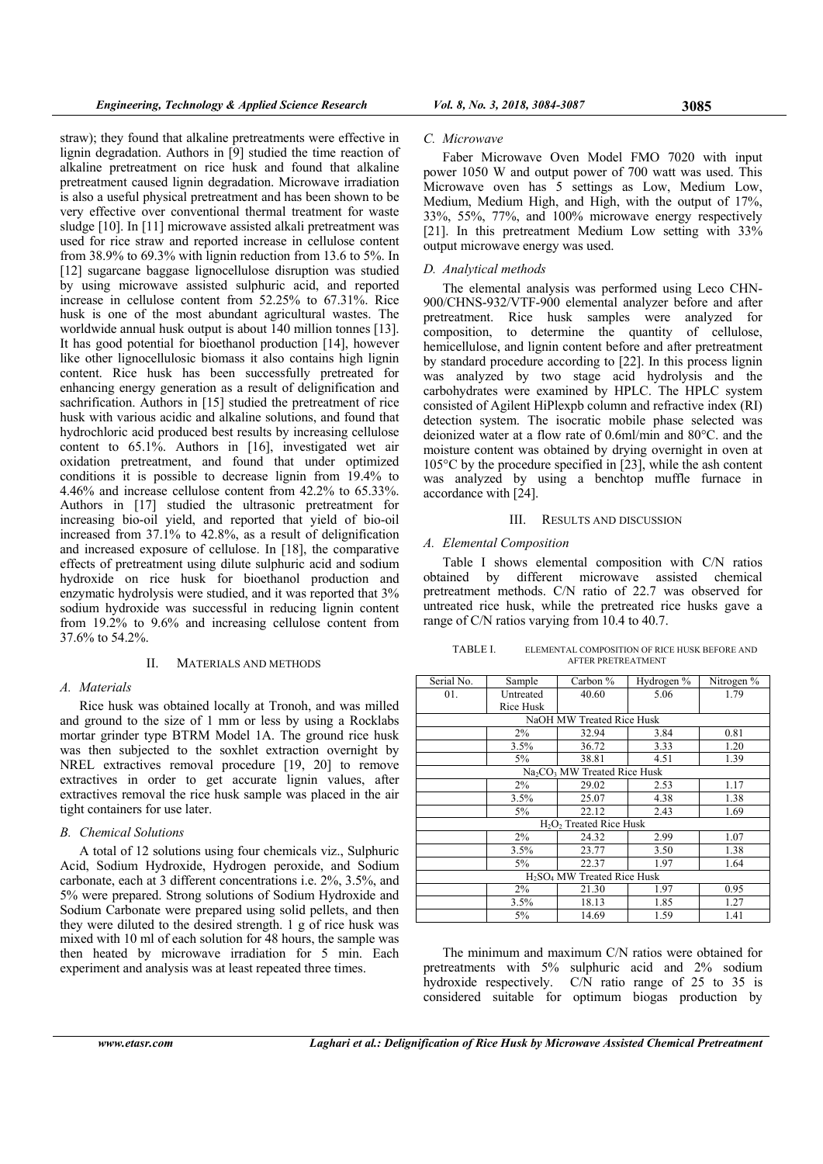straw); they found that alkaline pretreatments were effective in lignin degradation. Authors in [9] studied the time reaction of alkaline pretreatment on rice husk and found that alkaline pretreatment caused lignin degradation. Microwave irradiation is also a useful physical pretreatment and has been shown to be

Faber Microwave Oven Model FMO 7020 with input power 1050 W and output power of 700 watt was used. This Microwave oven has 5 settings as Low, Medium Low, Medium, Medium High, and High, with the output of 17%, 33%, 55%, 77%, and 100% microwave energy respectively [21]. In this pretreatment Medium Low setting with 33% output microwave energy was used.

# *D. Analytical methods*

The elemental analysis was performed using Leco CHN-900/CHNS-932/VTF-900 elemental analyzer before and after pretreatment. Rice husk samples were analyzed for composition, to determine the quantity of cellulose, hemicellulose, and lignin content before and after pretreatment by standard procedure according to [22]. In this process lignin was analyzed by two stage acid hydrolysis and the carbohydrates were examined by HPLC. The HPLC system consisted of Agilent HiPlexpb column and refractive index (RI) detection system. The isocratic mobile phase selected was deionized water at a flow rate of 0.6ml/min and 80°C. and the moisture content was obtained by drying overnight in oven at 105°C by the procedure specified in [23], while the ash content was analyzed by using a benchtop muffle furnace in accordance with [24].

# III. RESULTS AND DISCUSSION

# *A. Elemental Composition*

Table I shows elemental composition with C/N ratios obtained by different microwave assisted chemical pretreatment methods. C/N ratio of 22.7 was observed for untreated rice husk, while the pretreated rice husks gave a range of C/N ratios varying from 10.4 to 40.7.

TABLE I. ELEMENTAL COMPOSITION OF RICE HUSK BEFORE AND AFTER PRETREATMENT

 $3.5\%$   $36.72$   $3.33$  1.20 5% 38.81 4.51 1.39  $Na_2CO_3$  MW Treated Rice Husk  $2\%$  29.02 2.53 1.17 1.38 1.38  $5\%$  22.12 2.43 1.69  $H_2O_2$  Treated Rice Husk<br>24.32  $2\%$  24.32 2.99 1.07 3.5% 23.77 3.50 1.38 5% 22.37 1.97 1.64

Hydrogen % Nitrogen %

|                   | Serial No.                | Sample    | Carbon $\%$ | Hydrogen % | Nitroger |  |  |
|-------------------|---------------------------|-----------|-------------|------------|----------|--|--|
|                   | 01.                       | Untreated | 40.60       | 5.06       | l.79     |  |  |
| n, and was milled |                           | Rice Husk |             |            |          |  |  |
| using a Rocklabs  | NaOH MW Treated Rice Husk |           |             |            |          |  |  |
| oround rice husk  |                           | $2\%$     | 32.94       | 3.84       | 0.81     |  |  |

and ground to the size of  $1 \text{ mm}$  or less by using a Rocklabs mortar grinder type BTRM Model 1A. The ground rice husk was then subjected to the soxhlet extraction overnight by NREL extractives removal procedure [19, 20] to remove extractives in order to get accurate lignin values, after extractives removal the rice husk sample was placed in the air

from 19.2% to 9.6% and increasing cellulose content from

II. MATERIALS AND METHODS

A total of 12 solutions using four chemicals viz., Sulphuric Acid, Sodium Hydroxide, Hydrogen peroxide, and Sodium carbonate, each at 3 different concentrations i.e. 2%, 3.5%, and 5% were prepared. Strong solutions of Sodium Hydroxide and Sodium Carbonate were prepared using solid pellets, and then they were diluted to the desired strength. 1 g of rice husk was mixed with 10 ml of each solution for 48 hours, the sample was then heated by microwave irradiation for 5 min. Each experiment and analysis was at least repeated three times.

very effective over conventional thermal treatment for waste sludge [10]. In [11] microwave assisted alkali pretreatment was used for rice straw and reported increase in cellulose content from 38.9% to 69.3% with lignin reduction from 13.6 to 5%. In [12] sugarcane baggase lignocellulose disruption was studied by using microwave assisted sulphuric acid, and reported increase in cellulose content from 52.25% to 67.31%. Rice husk is one of the most abundant agricultural wastes. The worldwide annual husk output is about 140 million tonnes [13]. It has good potential for bioethanol production [14], however like other lignocellulosic biomass it also contains high lignin content. Rice husk has been successfully pretreated for enhancing energy generation as a result of delignification and sachrification. Authors in [15] studied the pretreatment of rice husk with various acidic and alkaline solutions, and found that hydrochloric acid produced best results by increasing cellulose content to 65.1%. Authors in [16], investigated wet air oxidation pretreatment, and found that under optimized conditions it is possible to decrease lignin from 19.4% to 4.46% and increase cellulose content from 42.2% to 65.33%. Authors in [17] studied the ultrasonic pretreatment for increasing bio-oil yield, and reported that yield of bio-oil increased from 37.1% to 42.8%, as a result of delignification and increased exposure of cellulose. In [18], the comparative effects of pretreatment using dilute sulphuric acid and sodium hydroxide on rice husk for bioethanol production and enzymatic hydrolysis were studied, and it was reported that 3% sodium hydroxide was successful in reducing lignin content

37.6% to 54.2%.

Rice husk was obtained locally at Tronoh tight containers for use later.

# *B. Chemical Solutions*

 $\frac{\text{H}_2\text{SO}_4 \text{MW} \text{Treated Rice Husk}}{2\%}$  21.30 1.97 1.97 | 2% | 21.30 | 1.97 | 0.95 1.85 1.27 5% 14.69 1.59 1.41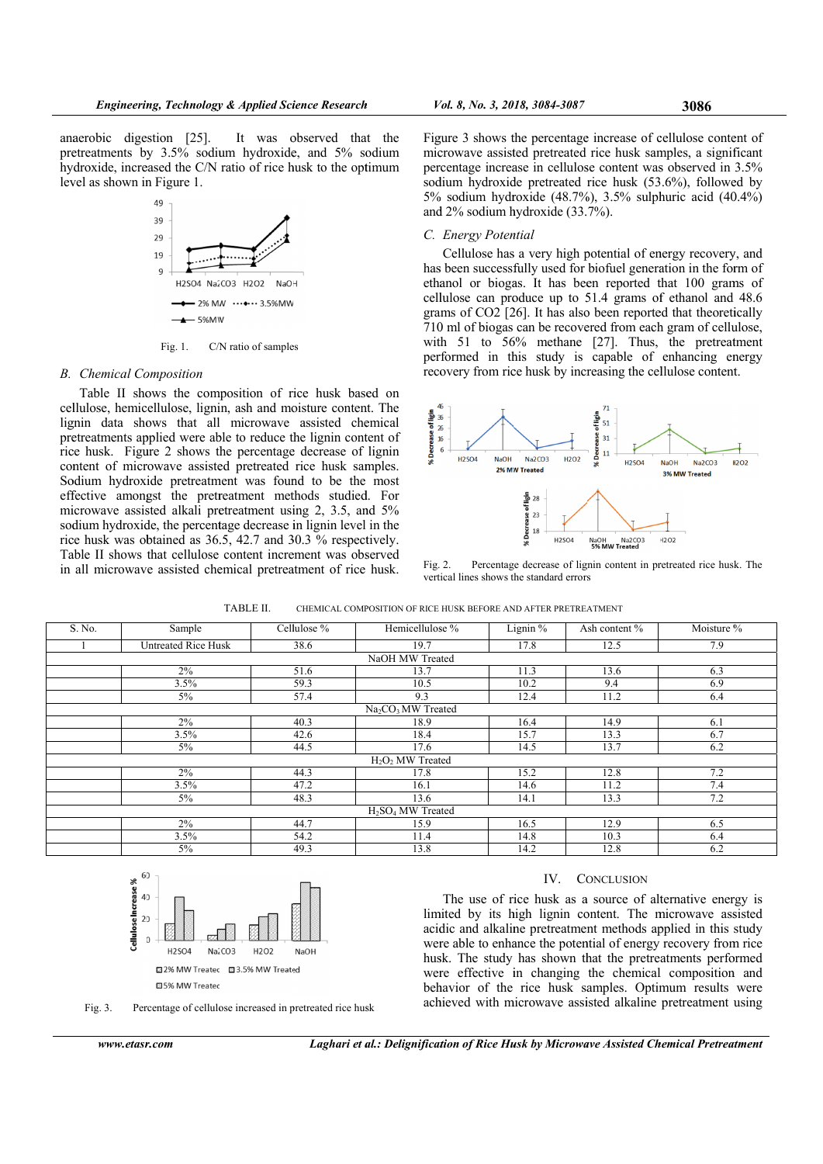anaerobic digestion [25]. It was observed that the pretreatments by 3.5% sodium hydroxide, and 5% sodium hydroxide, increased the C/N ratio of rice husk to the optimum level as shown in Figure 1.



Fig. 1. C/N ratio of samples

# **B.** Chemical Composition

Table II shows the composition of rice husk based on cellulose, hemicellulose, lignin, ash and moisture content. The lignin data shows that all microwave assisted chemical pretreatments applied were able to reduce the lignin content of rice husk. Figure 2 shows the percentage decrease of lignin content of microwave assisted pretreated rice husk samples. Sodium hydroxide pretreatment was found to be the most effective amongst the pretreatment methods studied. For microwave assisted alkali pretreatment using 2, 3.5, and 5% sodium hydroxide, the percentage decrease in lignin level in the rice husk was obtained as 36.5, 42.7 and 30.3 % respectively. Table II shows that cellulose content increment was observed in all microwave assisted chemical pretreatment of rice husk.

Figure 3 shows the percentage increase of cellulose content of microwave assisted pretreated rice husk samples, a significant percentage increase in cellulose content was observed in 3.5% sodium hydroxide pretreated rice husk (53.6%), followed by 5% sodium hydroxide  $(48.7\%)$ , 3.5% sulphuric acid  $(40.4\%)$ and  $2\%$  sodium hydroxide  $(33.7\%)$ .

# C. Energy Potential

Cellulose has a very high potential of energy recovery, and has been successfully used for biofuel generation in the form of ethanol or biogas. It has been reported that 100 grams of cellulose can produce up to 51.4 grams of ethanol and 48.6 grams of CO2 [26]. It has also been reported that theoretically 710 ml of biogas can be recovered from each gram of cellulose, with 51 to 56% methane [27]. Thus, the pretreatment performed in this study is capable of enhancing energy recovery from rice husk by increasing the cellulose content.



Percentage decrease of lignin content in pretreated rice husk. The Fig. 2. vertical lines shows the standard errors

| TABLE II.<br>CHEMICAL COMPOSITION OF RICE HUSK BEFORE AND AFTER PRETREATMENT |  |
|------------------------------------------------------------------------------|--|
|------------------------------------------------------------------------------|--|

| S. No.                                     | Sample                     | Cellulose % | Hemicellulose %                           | Lignin $%$ | Ash content % | Moisture % |  |  |  |
|--------------------------------------------|----------------------------|-------------|-------------------------------------------|------------|---------------|------------|--|--|--|
|                                            | <b>Untreated Rice Husk</b> | 38.6        | 19.7                                      | 17.8       | 12.5          | 7.9        |  |  |  |
| NaOH MW Treated                            |                            |             |                                           |            |               |            |  |  |  |
|                                            | $2\%$                      | 51.6        | 13.7                                      | 11.3       | 13.6          | 6.3        |  |  |  |
|                                            | 3.5%                       | 59.3        | 10.5                                      | 10.2       | 9.4           | 6.9        |  |  |  |
|                                            | $5\%$                      | 57.4        | 9.3                                       | 12.4       | 11.2          | 6.4        |  |  |  |
| Na <sub>2</sub> CO <sub>3</sub> MW Treated |                            |             |                                           |            |               |            |  |  |  |
|                                            | $2\%$                      | 40.3        | 18.9                                      | 16.4       | 14.9          | 6.1        |  |  |  |
|                                            | 3.5%                       | 42.6        | 18.4                                      | 15.7       | 13.3          | 6.7        |  |  |  |
|                                            | 5%                         | 44.5        | 17.6                                      | 14.5       | 13.7          | 6.2        |  |  |  |
| $H2O2 MW$ Treated                          |                            |             |                                           |            |               |            |  |  |  |
|                                            | $2\%$                      | 44.3        | 17.8                                      | 15.2       | 12.8          | 7.2        |  |  |  |
|                                            | 3.5%                       | 47.2        | 16.1                                      | 14.6       | 11.2          | 7.4        |  |  |  |
|                                            | $5\%$                      | 48.3        | 13.6                                      | 14.1       | 13.3          | 7.2        |  |  |  |
|                                            |                            |             | H <sub>2</sub> SO <sub>4</sub> MW Treated |            |               |            |  |  |  |
|                                            | $2\%$                      | 44.7        | 15.9                                      | 16.5       | 12.9          | 6.5        |  |  |  |
|                                            | 3.5%                       | 54.2        | 11.4                                      | 14.8       | 10.3          | 6.4        |  |  |  |
|                                            | $5\%$                      | 49.3        | 13.8                                      | 14.2       | 12.8          | 6.2        |  |  |  |



Percentage of cellulose increased in pretreated rice husk Fig. 3.

### $IV$ **CONCLUSION**

The use of rice husk as a source of alternative energy is limited by its high lignin content. The microwave assisted acidic and alkaline pretreatment methods applied in this study were able to enhance the potential of energy recovery from rice husk. The study has shown that the pretreatments performed were effective in changing the chemical composition and behavior of the rice husk samples. Optimum results were achieved with microwave assisted alkaline pretreatment using